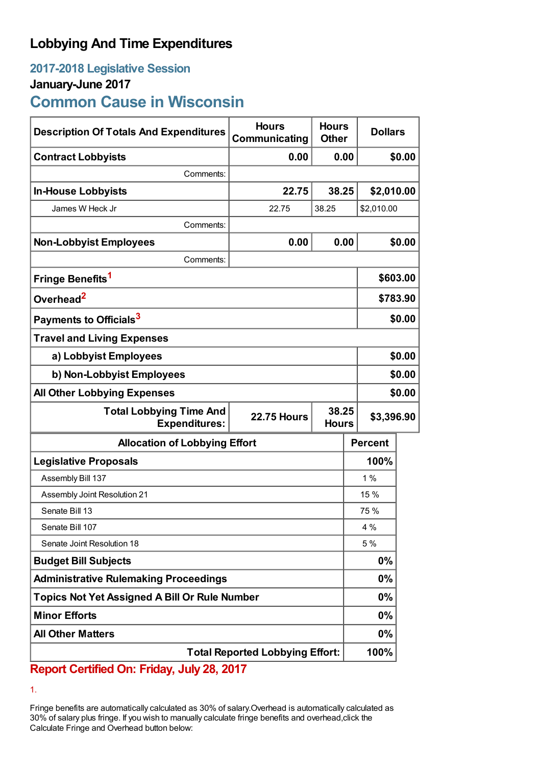## **Lobbying And Time Expenditures**

# **2017-2018 Legislative Session January-June 2017**

**Common Cause in Wisconsin**

| <b>Description Of Totals And Expenditures</b>                                                         | <b>Hours</b><br>Communicating | <b>Hours</b><br><b>Other</b> | <b>Dollars</b> |            |  |
|-------------------------------------------------------------------------------------------------------|-------------------------------|------------------------------|----------------|------------|--|
| <b>Contract Lobbyists</b>                                                                             | 0.00                          |                              | 0.00           | \$0.00     |  |
| Comments:                                                                                             |                               |                              |                |            |  |
| <b>In-House Lobbyists</b>                                                                             | 22.75                         | 38.25                        | \$2,010.00     |            |  |
| James W Heck Jr                                                                                       | 22.75                         | 38.25                        | \$2,010.00     |            |  |
| Comments:                                                                                             |                               |                              |                |            |  |
| <b>Non-Lobbyist Employees</b>                                                                         | 0.00                          |                              | 0.00           | \$0.00     |  |
| Comments:                                                                                             |                               |                              |                |            |  |
| Fringe Benefits <sup>1</sup>                                                                          |                               |                              |                | \$603.00   |  |
| Overhead <sup>2</sup>                                                                                 |                               |                              | \$783.90       |            |  |
| Payments to Officials <sup>3</sup>                                                                    |                               |                              |                | \$0.00     |  |
| <b>Travel and Living Expenses</b>                                                                     |                               |                              |                |            |  |
| a) Lobbyist Employees                                                                                 |                               |                              |                | \$0.00     |  |
| b) Non-Lobbyist Employees                                                                             |                               |                              |                | \$0.00     |  |
| <b>All Other Lobbying Expenses</b>                                                                    |                               |                              |                | \$0.00     |  |
| 38.25<br><b>Total Lobbying Time And</b><br><b>22.75 Hours</b><br><b>Expenditures:</b><br><b>Hours</b> |                               |                              |                | \$3,396.90 |  |
| <b>Allocation of Lobbying Effort</b>                                                                  |                               |                              | <b>Percent</b> |            |  |
| <b>Legislative Proposals</b>                                                                          |                               |                              | 100%           |            |  |
| Assembly Bill 137                                                                                     |                               |                              | 1%             |            |  |
| Assembly Joint Resolution 21                                                                          |                               |                              | 15 %           |            |  |
| Senate Bill 13                                                                                        |                               |                              | 75 %           |            |  |
| Senate Bill 107                                                                                       |                               |                              | 4 %            |            |  |
| Senate Joint Resolution 18                                                                            |                               |                              | 5 %            |            |  |
| <b>Budget Bill Subjects</b>                                                                           |                               |                              | $0\%$          |            |  |
| <b>Administrative Rulemaking Proceedings</b>                                                          |                               |                              | $0\%$          |            |  |
| <b>Topics Not Yet Assigned A Bill Or Rule Number</b>                                                  |                               |                              | $0\%$          |            |  |
| <b>Minor Efforts</b>                                                                                  |                               |                              | $0\%$          |            |  |
| <b>All Other Matters</b>                                                                              |                               |                              | $0\%$          |            |  |
| <b>Total Reported Lobbying Effort:</b>                                                                |                               |                              | 100%           |            |  |

### **Report Certified On: Friday, July 28, 2017**

1.

Fringe benefits are automatically calculated as 30% of salary.Overhead is automatically calculated as 30% of salary plus fringe. If you wish to manually calculate fringe benefits and overhead,click the Calculate Fringe and Overhead button below: